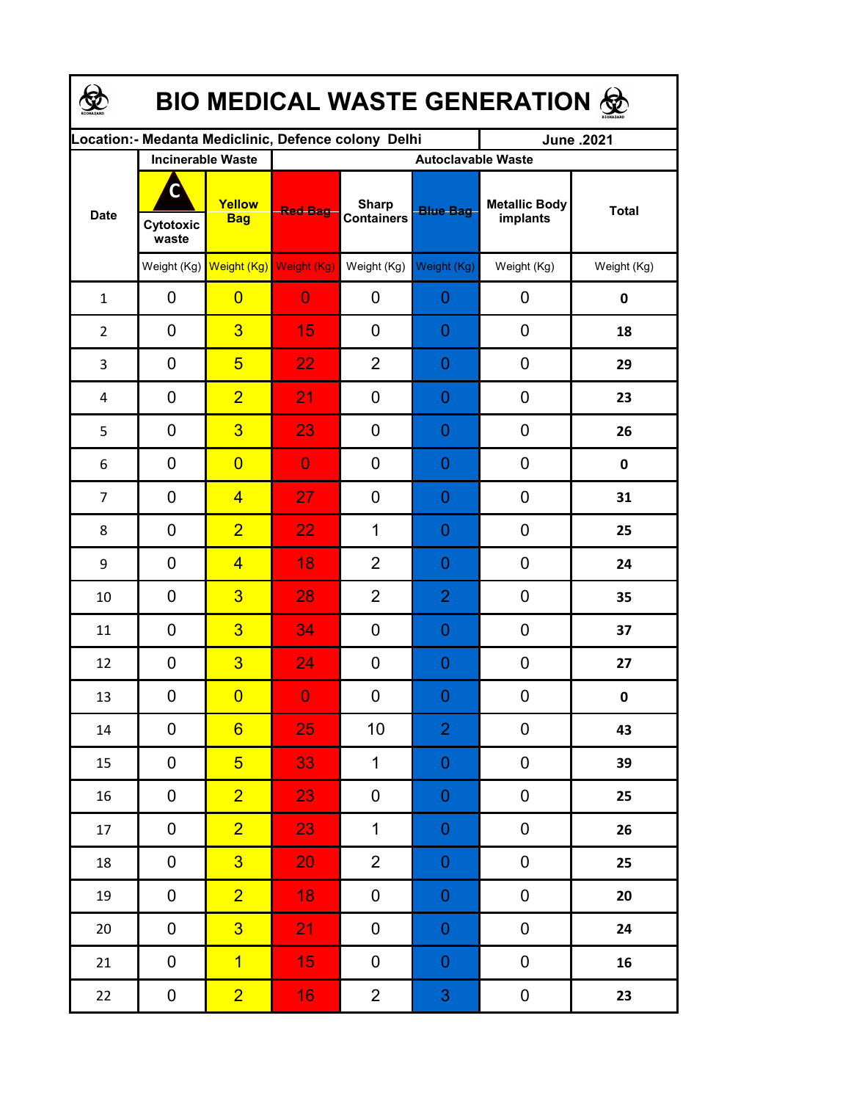| <b>BIO MEDICAL WASTE GENERATION 佥</b> |                    |                                     |                                                     |                                   |                  |                                  |                  |  |  |  |
|---------------------------------------|--------------------|-------------------------------------|-----------------------------------------------------|-----------------------------------|------------------|----------------------------------|------------------|--|--|--|
|                                       |                    |                                     | Location:- Medanta Mediclinic, Defence colony Delhi |                                   |                  | June .2021                       |                  |  |  |  |
| <b>Date</b>                           |                    | <b>Incinerable Waste</b>            | <b>Autoclavable Waste</b>                           |                                   |                  |                                  |                  |  |  |  |
|                                       | Cytotoxic<br>waste | Yellow<br><b>Bag</b>                | <b>Red Bag</b>                                      | <b>Sharp</b><br><b>Containers</b> | <b>Blue Bag</b>  | <b>Metallic Body</b><br>implants | <b>Total</b>     |  |  |  |
|                                       |                    | Weight (Kg) Weight (Kg) Weight (Kg) |                                                     | Weight (Kg)                       | Weight (Kg)      | Weight (Kg)                      | Weight (Kg)      |  |  |  |
| $\mathbf{1}$                          | 0                  | $\overline{0}$                      | $\overline{0}$                                      | 0                                 | 0                | 0                                | 0                |  |  |  |
| $\overline{2}$                        | 0                  | $\overline{3}$                      | 15                                                  | 0                                 | 0                | 0                                | 18               |  |  |  |
| 3                                     | 0                  | $5\overline{)}$                     | 22                                                  | $\overline{2}$                    | 0                | 0                                | 29               |  |  |  |
| 4                                     | 0                  | $\overline{2}$                      | 21                                                  | 0                                 | 0                | $\mathbf 0$                      | 23               |  |  |  |
| 5                                     | 0                  | $\overline{3}$                      | 23                                                  | 0                                 | 0                | $\mathbf 0$                      | 26               |  |  |  |
| 6                                     | 0                  | $\overline{0}$                      | $\overline{0}$                                      | 0                                 | 0                | 0                                | $\mathbf 0$      |  |  |  |
| $\overline{7}$                        | 0                  | $\overline{4}$                      | 27                                                  | 0                                 | 0                | 0                                | 31               |  |  |  |
| 8                                     | 0                  | $\overline{2}$                      | 22                                                  | $\mathbf 1$                       | 0                | 0                                | 25               |  |  |  |
| 9                                     | 0                  | $\overline{4}$                      | 18                                                  | $\overline{2}$                    | 0                | 0                                | 24               |  |  |  |
| 10                                    | 0                  | $\overline{3}$                      | 28                                                  | $\overline{2}$                    | $\overline{2}$   | 0                                | 35               |  |  |  |
| 11                                    | 0                  | $\overline{3}$                      | 34                                                  | 0                                 | 0                | 0                                | 37               |  |  |  |
| 12                                    | 0                  | $\overline{3}$                      | 24                                                  | 0                                 | 0                | $\mathbf 0$                      | 27               |  |  |  |
| 13                                    | 0                  | $\overline{\mathbf{0}}$             | $\boldsymbol{0}$                                    | 0                                 | $\overline{0}$   | $\boldsymbol{0}$                 | $\boldsymbol{0}$ |  |  |  |
| $14\,$                                | 0                  | $6 \overline{}$                     | 25                                                  | 10                                | $\overline{2}$   | 0                                | 43               |  |  |  |
| 15                                    | 0                  | 5 <sup>5</sup>                      | 33                                                  | $\mathbf 1$                       | $\boldsymbol{0}$ | $\pmb{0}$                        | 39               |  |  |  |
| 16                                    | 0                  | $\overline{2}$                      | 23                                                  | 0                                 | $\boldsymbol{0}$ | $\boldsymbol{0}$                 | 25               |  |  |  |
| 17                                    | $\mathbf 0$        | $\overline{2}$                      | 23                                                  | $\mathbf 1$                       | $\mathbf 0$      | $\pmb{0}$                        | 26               |  |  |  |
| 18                                    | $\pmb{0}$          | 3 <sup>1</sup>                      | 20                                                  | $\overline{2}$                    | $\mathbf 0$      | $\pmb{0}$                        | 25               |  |  |  |
| 19                                    | 0                  | $\overline{2}$                      | 18                                                  | 0                                 | $\boldsymbol{0}$ | $\pmb{0}$                        | 20               |  |  |  |
| $20\,$                                | 0                  | $\overline{3}$                      | 21                                                  | 0                                 | $\boldsymbol{0}$ | $\pmb{0}$                        | 24               |  |  |  |
| 21                                    | 0                  | $\overline{1}$                      | 15 <sub>1</sub>                                     | 0                                 | $\boldsymbol{0}$ | $\pmb{0}$                        | 16               |  |  |  |
| 22                                    | $\mathbf 0$        | $\overline{2}$                      | 16 <sup>°</sup>                                     | $\overline{2}$                    | $\mathbf{3}$     | $\pmb{0}$                        | 23               |  |  |  |